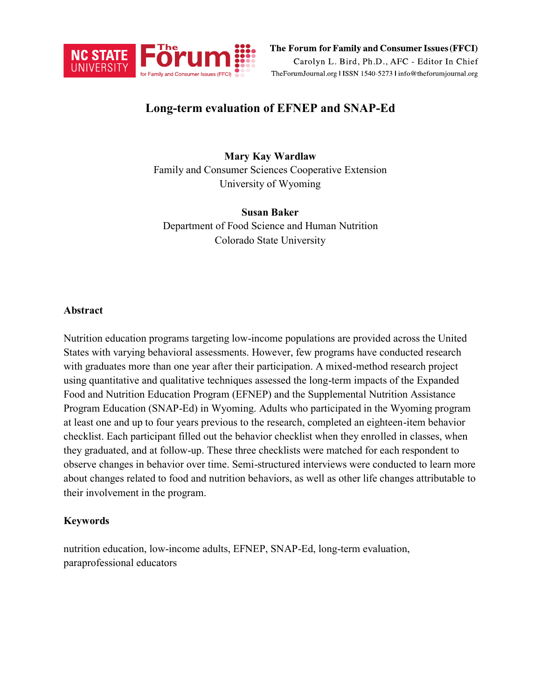

The Forum for Family and Consumer Issues (FFCI) Carolyn L. Bird, Ph.D., AFC - Editor In Chief TheForumJournal.org | ISSN 1540-5273 | info@theforumjournal.org

# **Long-term evaluation of EFNEP and SNAP-Ed**

# **Mary Kay Wardlaw**

Family and Consumer Sciences Cooperative Extension University of Wyoming

# **Susan Baker**

Department of Food Science and Human Nutrition Colorado State University

#### **Abstract**

Nutrition education programs targeting low-income populations are provided across the United States with varying behavioral assessments. However, few programs have conducted research with graduates more than one year after their participation. A mixed-method research project using quantitative and qualitative techniques assessed the long-term impacts of the Expanded Food and Nutrition Education Program (EFNEP) and the Supplemental Nutrition Assistance Program Education (SNAP-Ed) in Wyoming. Adults who participated in the Wyoming program at least one and up to four years previous to the research, completed an eighteen-item behavior checklist. Each participant filled out the behavior checklist when they enrolled in classes, when they graduated, and at follow-up. These three checklists were matched for each respondent to observe changes in behavior over time. Semi-structured interviews were conducted to learn more about changes related to food and nutrition behaviors, as well as other life changes attributable to their involvement in the program.

# **Keywords**

nutrition education, low-income adults, EFNEP, SNAP-Ed, long-term evaluation, paraprofessional educators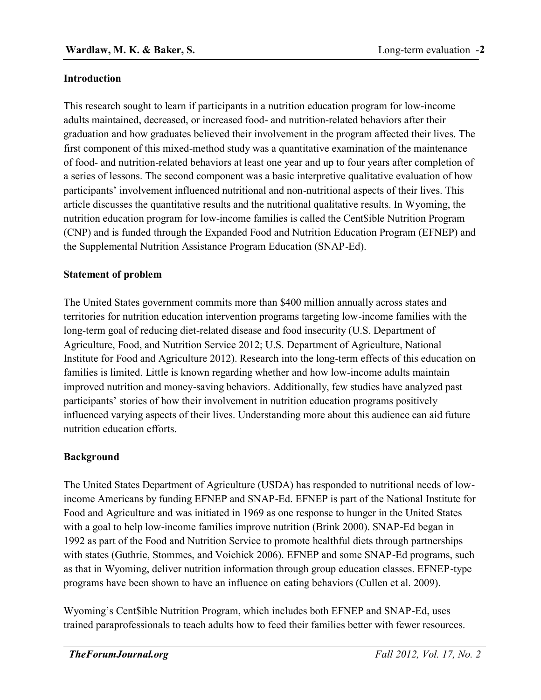# **Introduction**

This research sought to learn if participants in a nutrition education program for low-income adults maintained, decreased, or increased food- and nutrition-related behaviors after their graduation and how graduates believed their involvement in the program affected their lives. The first component of this mixed-method study was a quantitative examination of the maintenance of food- and nutrition-related behaviors at least one year and up to four years after completion of a series of lessons. The second component was a basic interpretive qualitative evaluation of how participants' involvement influenced nutritional and non-nutritional aspects of their lives. This article discusses the quantitative results and the nutritional qualitative results. In Wyoming, the nutrition education program for low-income families is called the Cent\$ible Nutrition Program (CNP) and is funded through the Expanded Food and Nutrition Education Program (EFNEP) and the Supplemental Nutrition Assistance Program Education (SNAP-Ed).

# **Statement of problem**

The United States government commits more than \$400 million annually across states and territories for nutrition education intervention programs targeting low-income families with the long-term goal of reducing diet-related disease and food insecurity (U.S. Department of Agriculture, Food, and Nutrition Service 2012; U.S. Department of Agriculture, National Institute for Food and Agriculture 2012). Research into the long-term effects of this education on families is limited. Little is known regarding whether and how low-income adults maintain improved nutrition and money-saving behaviors. Additionally, few studies have analyzed past participants' stories of how their involvement in nutrition education programs positively influenced varying aspects of their lives. Understanding more about this audience can aid future nutrition education efforts.

# **Background**

The United States Department of Agriculture (USDA) has responded to nutritional needs of lowincome Americans by funding EFNEP and SNAP-Ed. EFNEP is part of the National Institute for Food and Agriculture and was initiated in 1969 as one response to hunger in the United States with a goal to help low-income families improve nutrition (Brink 2000). SNAP-Ed began in 1992 as part of the Food and Nutrition Service to promote healthful diets through partnerships with states (Guthrie, Stommes, and Voichick 2006). EFNEP and some SNAP-Ed programs, such as that in Wyoming, deliver nutrition information through group education classes. EFNEP-type programs have been shown to have an influence on eating behaviors (Cullen et al. 2009).

Wyoming's Cent\$ible Nutrition Program, which includes both EFNEP and SNAP-Ed, uses trained paraprofessionals to teach adults how to feed their families better with fewer resources.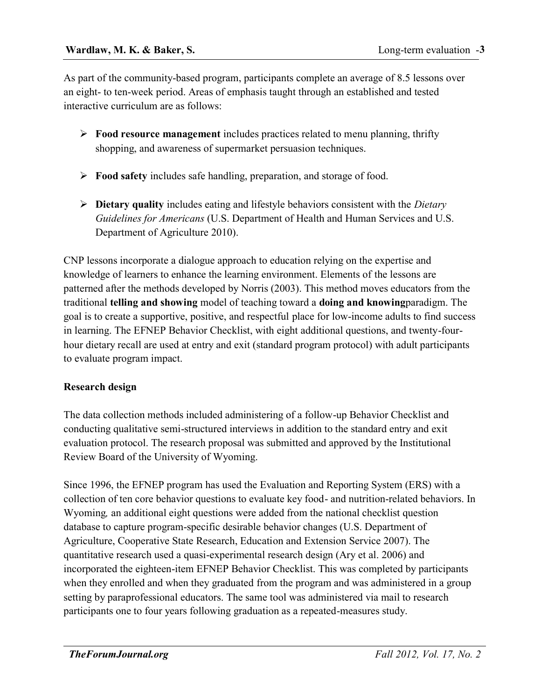As part of the community-based program, participants complete an average of 8.5 lessons over an eight- to ten-week period. Areas of emphasis taught through an established and tested interactive curriculum are as follows:

- **Food resource management** includes practices related to menu planning, thrifty shopping, and awareness of supermarket persuasion techniques.
- **Food safety** includes safe handling, preparation, and storage of food.
- **Dietary quality** includes eating and lifestyle behaviors consistent with the *Dietary Guidelines for Americans* (U.S. Department of Health and Human Services and U.S. Department of Agriculture 2010).

CNP lessons incorporate a dialogue approach to education relying on the expertise and knowledge of learners to enhance the learning environment. Elements of the lessons are patterned after the methods developed by Norris (2003). This method moves educators from the traditional **telling and showing** model of teaching toward a **doing and knowing**paradigm. The goal is to create a supportive, positive, and respectful place for low-income adults to find success in learning. The EFNEP Behavior Checklist, with eight additional questions, and twenty-fourhour dietary recall are used at entry and exit (standard program protocol) with adult participants to evaluate program impact.

# **Research design**

The data collection methods included administering of a follow-up Behavior Checklist and conducting qualitative semi-structured interviews in addition to the standard entry and exit evaluation protocol. The research proposal was submitted and approved by the Institutional Review Board of the University of Wyoming.

Since 1996, the EFNEP program has used the Evaluation and Reporting System (ERS) with a collection of ten core behavior questions to evaluate key food- and nutrition-related behaviors. In Wyoming*,* an additional eight questions were added from the national checklist question database to capture program-specific desirable behavior changes (U.S. Department of Agriculture, Cooperative State Research, Education and Extension Service 2007). The quantitative research used a quasi-experimental research design (Ary et al. 2006) and incorporated the eighteen-item EFNEP Behavior Checklist. This was completed by participants when they enrolled and when they graduated from the program and was administered in a group setting by paraprofessional educators. The same tool was administered via mail to research participants one to four years following graduation as a repeated-measures study.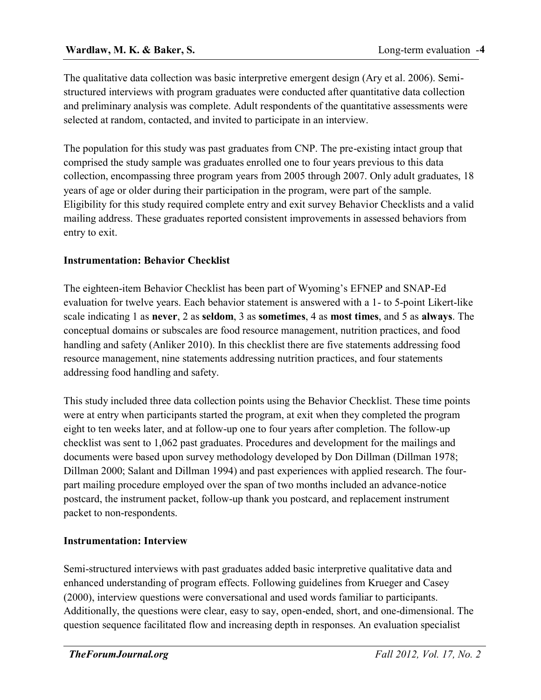The qualitative data collection was basic interpretive emergent design (Ary et al. 2006). Semistructured interviews with program graduates were conducted after quantitative data collection and preliminary analysis was complete. Adult respondents of the quantitative assessments were selected at random, contacted, and invited to participate in an interview.

The population for this study was past graduates from CNP. The pre-existing intact group that comprised the study sample was graduates enrolled one to four years previous to this data collection, encompassing three program years from 2005 through 2007. Only adult graduates, 18 years of age or older during their participation in the program, were part of the sample. Eligibility for this study required complete entry and exit survey Behavior Checklists and a valid mailing address. These graduates reported consistent improvements in assessed behaviors from entry to exit.

# **Instrumentation: Behavior Checklist**

The eighteen-item Behavior Checklist has been part of Wyoming's EFNEP and SNAP-Ed evaluation for twelve years. Each behavior statement is answered with a 1- to 5-point Likert-like scale indicating 1 as **never**, 2 as **seldom**, 3 as **sometimes**, 4 as **most times**, and 5 as **always**. The conceptual domains or subscales are food resource management, nutrition practices, and food handling and safety (Anliker 2010). In this checklist there are five statements addressing food resource management, nine statements addressing nutrition practices, and four statements addressing food handling and safety.

This study included three data collection points using the Behavior Checklist. These time points were at entry when participants started the program, at exit when they completed the program eight to ten weeks later, and at follow-up one to four years after completion. The follow-up checklist was sent to 1,062 past graduates. Procedures and development for the mailings and documents were based upon survey methodology developed by Don Dillman (Dillman 1978; Dillman 2000; Salant and Dillman 1994) and past experiences with applied research. The fourpart mailing procedure employed over the span of two months included an advance-notice postcard, the instrument packet, follow-up thank you postcard, and replacement instrument packet to non-respondents.

# **Instrumentation: Interview**

Semi-structured interviews with past graduates added basic interpretive qualitative data and enhanced understanding of program effects. Following guidelines from Krueger and Casey (2000), interview questions were conversational and used words familiar to participants. Additionally, the questions were clear, easy to say, open-ended, short, and one-dimensional. The question sequence facilitated flow and increasing depth in responses. An evaluation specialist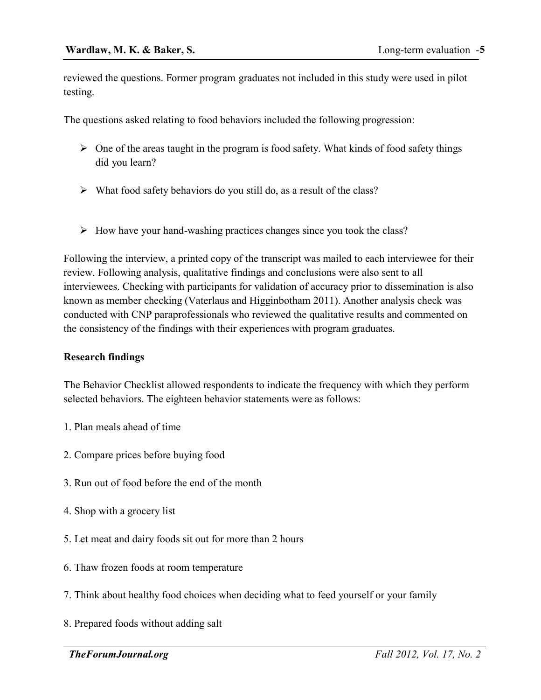reviewed the questions. Former program graduates not included in this study were used in pilot testing.

The questions asked relating to food behaviors included the following progression:

- $\triangleright$  One of the areas taught in the program is food safety. What kinds of food safety things did you learn?
- What food safety behaviors do you still do, as a result of the class?
- $\triangleright$  How have your hand-washing practices changes since you took the class?

Following the interview, a printed copy of the transcript was mailed to each interviewee for their review. Following analysis, qualitative findings and conclusions were also sent to all interviewees. Checking with participants for validation of accuracy prior to dissemination is also known as member checking (Vaterlaus and Higginbotham 2011). Another analysis check was conducted with CNP paraprofessionals who reviewed the qualitative results and commented on the consistency of the findings with their experiences with program graduates.

# **Research findings**

The Behavior Checklist allowed respondents to indicate the frequency with which they perform selected behaviors. The eighteen behavior statements were as follows:

- 1. Plan meals ahead of time
- 2. Compare prices before buying food
- 3. Run out of food before the end of the month
- 4. Shop with a grocery list
- 5. Let meat and dairy foods sit out for more than 2 hours
- 6. Thaw frozen foods at room temperature
- 7. Think about healthy food choices when deciding what to feed yourself or your family
- 8. Prepared foods without adding salt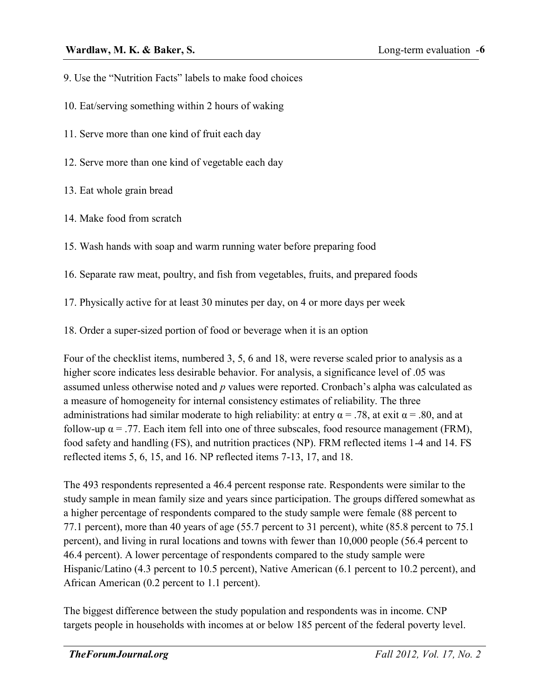- 9. Use the "Nutrition Facts" labels to make food choices
- 10. Eat/serving something within 2 hours of waking
- 11. Serve more than one kind of fruit each day
- 12. Serve more than one kind of vegetable each day
- 13. Eat whole grain bread
- 14. Make food from scratch
- 15. Wash hands with soap and warm running water before preparing food
- 16. Separate raw meat, poultry, and fish from vegetables, fruits, and prepared foods
- 17. Physically active for at least 30 minutes per day, on 4 or more days per week
- 18. Order a super-sized portion of food or beverage when it is an option

Four of the checklist items, numbered 3, 5, 6 and 18, were reverse scaled prior to analysis as a higher score indicates less desirable behavior. For analysis, a significance level of .05 was assumed unless otherwise noted and *p* values were reported. Cronbach's alpha was calculated as a measure of homogeneity for internal consistency estimates of reliability. The three administrations had similar moderate to high reliability: at entry  $\alpha = .78$ , at exit  $\alpha = .80$ , and at follow-up  $\alpha$  = .77. Each item fell into one of three subscales, food resource management (FRM), food safety and handling (FS), and nutrition practices (NP). FRM reflected items 1-4 and 14. FS reflected items 5, 6, 15, and 16. NP reflected items 7-13, 17, and 18.

The 493 respondents represented a 46.4 percent response rate. Respondents were similar to the study sample in mean family size and years since participation. The groups differed somewhat as a higher percentage of respondents compared to the study sample were female (88 percent to 77.1 percent), more than 40 years of age (55.7 percent to 31 percent), white (85.8 percent to 75.1 percent), and living in rural locations and towns with fewer than 10,000 people (56.4 percent to 46.4 percent). A lower percentage of respondents compared to the study sample were Hispanic/Latino (4.3 percent to 10.5 percent), Native American (6.1 percent to 10.2 percent), and African American (0.2 percent to 1.1 percent).

The biggest difference between the study population and respondents was in income. CNP targets people in households with incomes at or below 185 percent of the federal poverty level.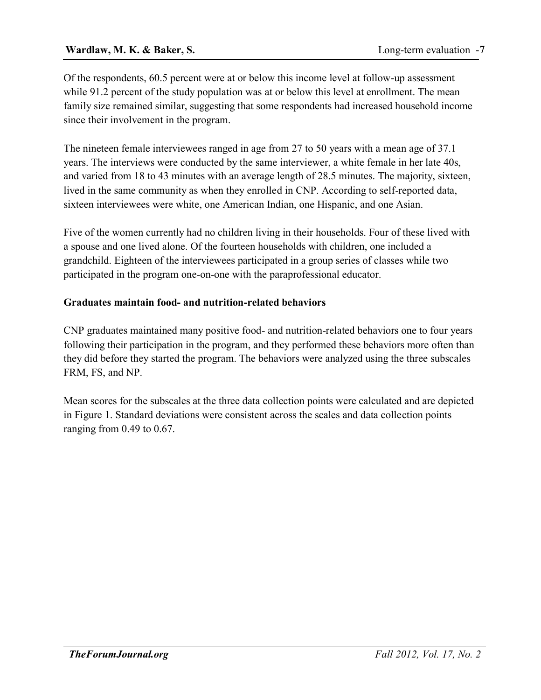### **Wardlaw, M. K. & Baker, S.**

Of the respondents, 60.5 percent were at or below this income level at follow-up assessment while 91.2 percent of the study population was at or below this level at enrollment. The mean family size remained similar, suggesting that some respondents had increased household income since their involvement in the program.

The nineteen female interviewees ranged in age from 27 to 50 years with a mean age of 37.1 years. The interviews were conducted by the same interviewer, a white female in her late 40s, and varied from 18 to 43 minutes with an average length of 28.5 minutes. The majority, sixteen, lived in the same community as when they enrolled in CNP. According to self-reported data, sixteen interviewees were white, one American Indian, one Hispanic, and one Asian.

Five of the women currently had no children living in their households. Four of these lived with a spouse and one lived alone. Of the fourteen households with children, one included a grandchild. Eighteen of the interviewees participated in a group series of classes while two participated in the program one-on-one with the paraprofessional educator.

#### **Graduates maintain food- and nutrition-related behaviors**

CNP graduates maintained many positive food- and nutrition-related behaviors one to four years following their participation in the program, and they performed these behaviors more often than they did before they started the program. The behaviors were analyzed using the three subscales FRM, FS, and NP.

Mean scores for the subscales at the three data collection points were calculated and are depicted in Figure 1. Standard deviations were consistent across the scales and data collection points ranging from 0.49 to 0.67.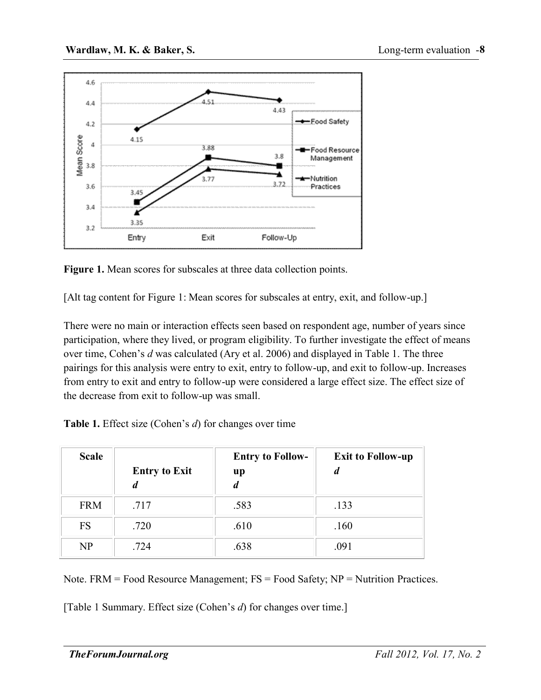

**Figure 1.** Mean scores for subscales at three data collection points.

[Alt tag content for Figure 1: Mean scores for subscales at entry, exit, and follow-up.]

There were no main or interaction effects seen based on respondent age, number of years since participation, where they lived, or program eligibility. To further investigate the effect of means over time, Cohen's *d* was calculated (Ary et al. 2006) and displayed in Table 1. The three pairings for this analysis were entry to exit, entry to follow-up, and exit to follow-up. Increases from entry to exit and entry to follow-up were considered a large effect size. The effect size of the decrease from exit to follow-up was small.

| <b>Table 1.</b> Effect size (Cohen's d) for changes over time |  |  |
|---------------------------------------------------------------|--|--|
|                                                               |  |  |

| <b>Scale</b> | <b>Entry to Exit</b><br>a | <b>Entry to Follow-</b><br>up | <b>Exit to Follow-up</b><br>d |
|--------------|---------------------------|-------------------------------|-------------------------------|
| <b>FRM</b>   | .717                      | .583                          | .133                          |
| <b>FS</b>    | .720                      | .610                          | .160                          |
| NP           | .724                      | .638                          | .091                          |

Note.  $FRM = Food Resource Management; FS = Food Safety; NP = Nutrition Practices.$ 

[Table 1 Summary. Effect size (Cohen's *d*) for changes over time.]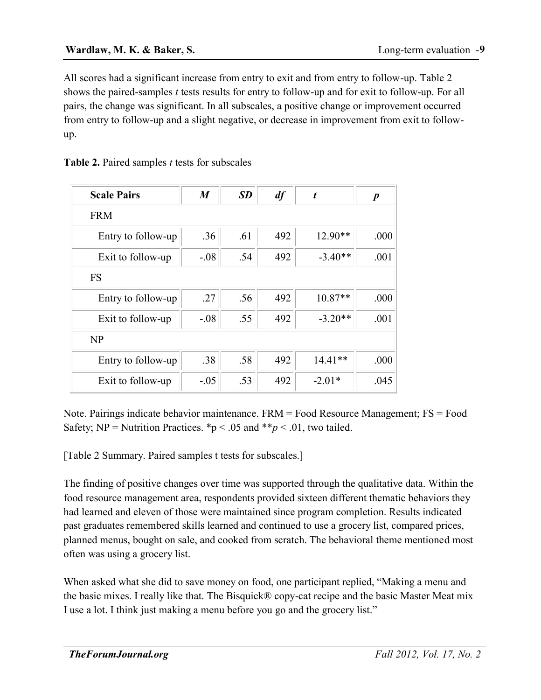All scores had a significant increase from entry to exit and from entry to follow-up. Table 2 shows the paired-samples *t* tests results for entry to follow-up and for exit to follow-up. For all pairs, the change was significant. In all subscales, a positive change or improvement occurred from entry to follow-up and a slight negative, or decrease in improvement from exit to followup.

| Table 2. Paired samples <i>t</i> tests for subscales |  |  |  |
|------------------------------------------------------|--|--|--|
|------------------------------------------------------|--|--|--|

| <b>Scale Pairs</b> | $\boldsymbol{M}$ | <b>SD</b> | df  | t         | $\boldsymbol{p}$ |  |  |
|--------------------|------------------|-----------|-----|-----------|------------------|--|--|
| <b>FRM</b>         |                  |           |     |           |                  |  |  |
| Entry to follow-up | .36              | .61       | 492 | $12.90**$ | .000             |  |  |
| Exit to follow-up  | $-.08$           | .54       | 492 | $-3.40**$ | .001             |  |  |
| <b>FS</b>          |                  |           |     |           |                  |  |  |
| Entry to follow-up | .27              | .56       | 492 | $10.87**$ | .000             |  |  |
| Exit to follow-up  | $-.08$           | .55       | 492 | $-3.20**$ | .001             |  |  |
| NP                 |                  |           |     |           |                  |  |  |
| Entry to follow-up | .38              | .58       | 492 | $14.41**$ | .000             |  |  |
| Exit to follow-up  | $-.05$           | .53       | 492 | $-2.01*$  | .045             |  |  |

Note. Pairings indicate behavior maintenance. FRM = Food Resource Management; FS = Food Safety; NP = Nutrition Practices.  $\mathbf{\hat{p}}$  < .05 and  $\mathbf{\hat{p}}$  < .01, two tailed.

[Table 2 Summary. Paired samples t tests for subscales.]

The finding of positive changes over time was supported through the qualitative data. Within the food resource management area, respondents provided sixteen different thematic behaviors they had learned and eleven of those were maintained since program completion. Results indicated past graduates remembered skills learned and continued to use a grocery list, compared prices, planned menus, bought on sale, and cooked from scratch. The behavioral theme mentioned most often was using a grocery list.

When asked what she did to save money on food, one participant replied, "Making a menu and the basic mixes. I really like that. The Bisquick® copy-cat recipe and the basic Master Meat mix I use a lot. I think just making a menu before you go and the grocery list."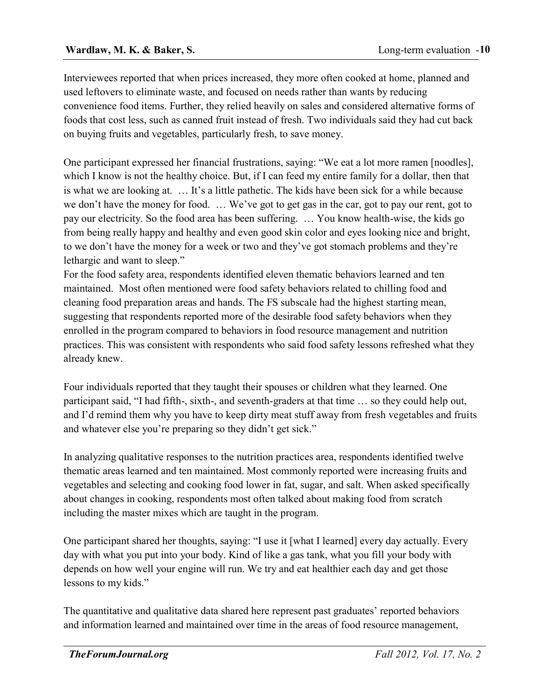Interviewees reported that when prices increased, they more often cooked at home, planned and used leftovers to eliminate waste, and focused on needs rather than wants by reducing convenience food items. Further, they relied heavily on sales and considered alternative forms of foods that cost less, such as canned fruit instead of fresh. Two individuals said they had cut back on buying fruits and vegetables, particularly fresh, to save money.

One participant expressed her financial frustrations, saying: "We eat a lot more ramen [noodles], which I know is not the healthy choice. But, if I can feed my entire family for a dollar, then that is what we are looking at. … It's a little pathetic. The kids have been sick for a while because we don't have the money for food. … We've got to get gas in the car, got to pay our rent, got to pay our electricity. So the food area has been suffering. … You know health-wise, the kids go from being really happy and healthy and even good skin color and eyes looking nice and bright, to we don't have the money for a week or two and they've got stomach problems and they're lethargic and want to sleep."

For the food safety area, respondents identified eleven thematic behaviors learned and ten maintained. Most often mentioned were food safety behaviors related to chilling food and cleaning food preparation areas and hands. The FS subscale had the highest starting mean, suggesting that respondents reported more of the desirable food safety behaviors when they enrolled in the program compared to behaviors in food resource management and nutrition practices. This was consistent with respondents who said food safety lessons refreshed what they already knew.

Four individuals reported that they taught their spouses or children what they learned. One participant said, "I had fifth-, sixth-, and seventh-graders at that time … so they could help out, and I'd remind them why you have to keep dirty meat stuff away from fresh vegetables and fruits and whatever else you're preparing so they didn't get sick."

In analyzing qualitative responses to the nutrition practices area, respondents identified twelve thematic areas learned and ten maintained. Most commonly reported were increasing fruits and vegetables and selecting and cooking food lower in fat, sugar, and salt. When asked specifically about changes in cooking, respondents most often talked about making food from scratch including the master mixes which are taught in the program.

One participant shared her thoughts, saying: "I use it [what I learned] every day actually. Every day with what you put into your body. Kind of like a gas tank, what you fill your body with depends on how well your engine will run. We try and eat healthier each day and get those lessons to my kids."

The quantitative and qualitative data shared here represent past graduates' reported behaviors and information learned and maintained over time in the areas of food resource management,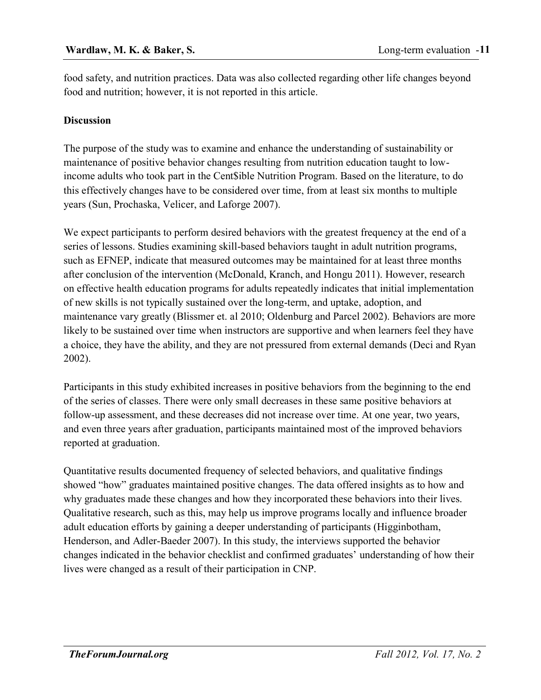food safety, and nutrition practices. Data was also collected regarding other life changes beyond food and nutrition; however, it is not reported in this article.

# **Discussion**

The purpose of the study was to examine and enhance the understanding of sustainability or maintenance of positive behavior changes resulting from nutrition education taught to lowincome adults who took part in the Cent\$ible Nutrition Program. Based on the literature, to do this effectively changes have to be considered over time, from at least six months to multiple years (Sun, Prochaska, Velicer, and Laforge 2007).

We expect participants to perform desired behaviors with the greatest frequency at the end of a series of lessons. Studies examining skill-based behaviors taught in adult nutrition programs, such as EFNEP, indicate that measured outcomes may be maintained for at least three months after conclusion of the intervention (McDonald, Kranch, and Hongu 2011). However, research on effective health education programs for adults repeatedly indicates that initial implementation of new skills is not typically sustained over the long-term, and uptake, adoption, and maintenance vary greatly (Blissmer et. al 2010; Oldenburg and Parcel 2002). Behaviors are more likely to be sustained over time when instructors are supportive and when learners feel they have a choice, they have the ability, and they are not pressured from external demands (Deci and Ryan 2002).

Participants in this study exhibited increases in positive behaviors from the beginning to the end of the series of classes. There were only small decreases in these same positive behaviors at follow-up assessment, and these decreases did not increase over time. At one year, two years, and even three years after graduation, participants maintained most of the improved behaviors reported at graduation.

Quantitative results documented frequency of selected behaviors, and qualitative findings showed "how" graduates maintained positive changes. The data offered insights as to how and why graduates made these changes and how they incorporated these behaviors into their lives. Qualitative research, such as this, may help us improve programs locally and influence broader adult education efforts by gaining a deeper understanding of participants (Higginbotham, Henderson, and Adler-Baeder 2007). In this study, the interviews supported the behavior changes indicated in the behavior checklist and confirmed graduates' understanding of how their lives were changed as a result of their participation in CNP.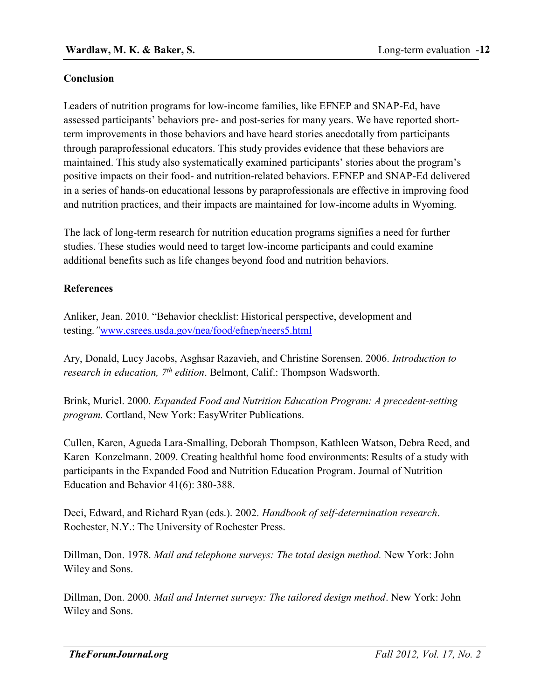### **Conclusion**

Leaders of nutrition programs for low-income families, like EFNEP and SNAP-Ed, have assessed participants' behaviors pre- and post-series for many years. We have reported shortterm improvements in those behaviors and have heard stories anecdotally from participants through paraprofessional educators. This study provides evidence that these behaviors are maintained. This study also systematically examined participants' stories about the program's positive impacts on their food- and nutrition-related behaviors. EFNEP and SNAP-Ed delivered in a series of hands-on educational lessons by paraprofessionals are effective in improving food and nutrition practices, and their impacts are maintained for low-income adults in Wyoming.

The lack of long-term research for nutrition education programs signifies a need for further studies. These studies would need to target low-income participants and could examine additional benefits such as life changes beyond food and nutrition behaviors.

#### **References**

Anliker, Jean. 2010. "Behavior checklist: Historical perspective, development and testing.*"*[www.csrees.usda.gov/nea/food/efnep/neers5.html](http://www.csrees.usda.gov/nea/food/efnep/neers5.html)

Ary, Donald, Lucy Jacobs, Asghsar Razavieh, and Christine Sorensen. 2006. *Introduction to research in education, 7th edition*. Belmont, Calif.: Thompson Wadsworth.

Brink, Muriel. 2000. *Expanded Food and Nutrition Education Program: A precedent-setting program.* Cortland, New York: EasyWriter Publications.

Cullen, Karen, Agueda Lara-Smalling, Deborah Thompson, Kathleen Watson, Debra Reed, and Karen Konzelmann. 2009. Creating healthful home food environments: Results of a study with participants in the Expanded Food and Nutrition Education Program. Journal of Nutrition Education and Behavior 41(6): 380-388.

Deci, Edward, and Richard Ryan (eds.). 2002. *Handbook of self-determination research*. Rochester, N.Y.: The University of Rochester Press.

Dillman, Don. 1978. *Mail and telephone surveys: The total design method.* New York: John Wiley and Sons.

Dillman, Don. 2000. *Mail and Internet surveys: The tailored design method*. New York: John Wiley and Sons.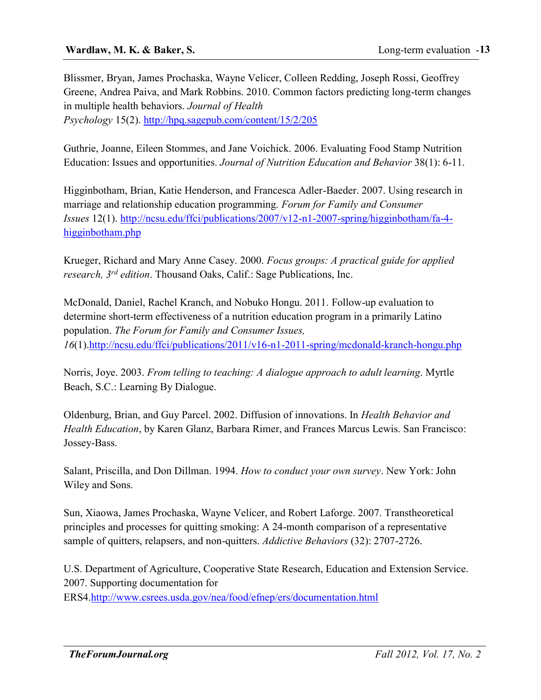Blissmer, Bryan, James Prochaska, Wayne Velicer, Colleen Redding, Joseph Rossi, Geoffrey Greene, Andrea Paiva, and Mark Robbins. 2010. Common factors predicting long-term changes in multiple health behaviors. *Journal of Health Psychology* 15(2). <http://hpq.sagepub.com/content/15/2/205>

Guthrie, Joanne, Eileen Stommes, and Jane Voichick. 2006. Evaluating Food Stamp Nutrition Education: Issues and opportunities. *Journal of Nutrition Education and Behavior* 38(1): 6-11.

Higginbotham, Brian, Katie Henderson, and Francesca Adler-Baeder. 2007. Using research in marriage and relationship education programming. *Forum for Family and Consumer Issues* 12(1). [http://ncsu.edu/ffci/publications/2007/v12-n1-2007-spring/higginbotham/fa-4](https://projects.ncsu.edu/ffci/publications/2007/v12-n1-2007-spring/higginbotham/fa-4-higginbotham.php) [higginbotham.php](https://projects.ncsu.edu/ffci/publications/2007/v12-n1-2007-spring/higginbotham/fa-4-higginbotham.php)

Krueger, Richard and Mary Anne Casey. 2000. *Focus groups: A practical guide for applied research, 3rd edition*. Thousand Oaks, Calif.: Sage Publications, Inc.

McDonald, Daniel, Rachel Kranch, and Nobuko Hongu. 2011. Follow-up evaluation to determine short-term effectiveness of a nutrition education program in a primarily Latino population. *The Forum for Family and Consumer Issues, 16*(1)[.http://ncsu.edu/ffci/publications/2011/v16-n1-2011-spring/mcdonald-kranch-hongu.php](https://projects.ncsu.edu/ffci/publications/2011/v16-n1-2011-spring/mcdonald-kranch-hongu.php)

Norris, Joye. 2003. *From telling to teaching: A dialogue approach to adult learning*. Myrtle Beach, S.C.: Learning By Dialogue.

Oldenburg, Brian, and Guy Parcel. 2002. Diffusion of innovations. In *Health Behavior and Health Education*, by Karen Glanz, Barbara Rimer, and Frances Marcus Lewis. San Francisco: Jossey-Bass.

Salant, Priscilla, and Don Dillman. 1994. *How to conduct your own survey*. New York: John Wiley and Sons.

Sun, Xiaowa, James Prochaska, Wayne Velicer, and Robert Laforge. 2007. Transtheoretical principles and processes for quitting smoking: A 24-month comparison of a representative sample of quitters, relapsers, and non-quitters. *Addictive Behaviors* (32): 2707-2726.

U.S. Department of Agriculture, Cooperative State Research, Education and Extension Service. 2007. Supporting documentation for ERS4[.http://www.csrees.usda.gov/nea/food/efnep/ers/documentation.html](http://www.csrees.usda.gov/nea/food/efnep/ers/documentation.html)